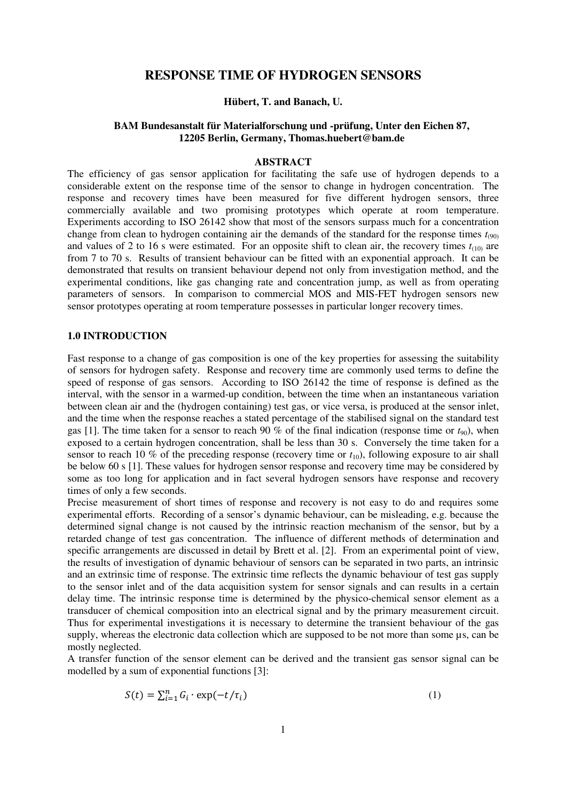# **RESPONSE TIME OF HYDROGEN SENSORS**

### **Hübert, T. and Banach, U.**

# **BAM Bundesanstalt für Materialforschung und -prüfung, Unter den Eichen 87, 12205 Berlin, Germany, Thomas.huebert@bam.de**

# **ABSTRACT**

The efficiency of gas sensor application for facilitating the safe use of hydrogen depends to a considerable extent on the response time of the sensor to change in hydrogen concentration. The response and recovery times have been measured for five different hydrogen sensors, three commercially available and two promising prototypes which operate at room temperature. Experiments according to ISO 26142 show that most of the sensors surpass much for a concentration change from clean to hydrogen containing air the demands of the standard for the response times  $t_{(90)}$ and values of 2 to 16 s were estimated. For an opposite shift to clean air, the recovery times  $t_{(10)}$  are from 7 to 70 s. Results of transient behaviour can be fitted with an exponential approach. It can be demonstrated that results on transient behaviour depend not only from investigation method, and the experimental conditions, like gas changing rate and concentration jump, as well as from operating parameters of sensors. In comparison to commercial MOS and MIS-FET hydrogen sensors new sensor prototypes operating at room temperature possesses in particular longer recovery times.

## **1.0 INTRODUCTION**

Fast response to a change of gas composition is one of the key properties for assessing the suitability of sensors for hydrogen safety. Response and recovery time are commonly used terms to define the speed of response of gas sensors. According to ISO 26142 the time of response is defined as the interval, with the sensor in a warmed-up condition, between the time when an instantaneous variation between clean air and the (hydrogen containing) test gas, or vice versa, is produced at the sensor inlet, and the time when the response reaches a stated percentage of the stabilised signal on the standard test gas [1]. The time taken for a sensor to reach 90 % of the final indication (response time or  $t_{90}$ ), when exposed to a certain hydrogen concentration, shall be less than 30 s. Conversely the time taken for a sensor to reach 10 % of the preceding response (recovery time or  $t_{10}$ ), following exposure to air shall be below 60 s [1]. These values for hydrogen sensor response and recovery time may be considered by some as too long for application and in fact several hydrogen sensors have response and recovery times of only a few seconds.

Precise measurement of short times of response and recovery is not easy to do and requires some experimental efforts. Recording of a sensor's dynamic behaviour, can be misleading, e.g. because the determined signal change is not caused by the intrinsic reaction mechanism of the sensor, but by a retarded change of test gas concentration. The influence of different methods of determination and specific arrangements are discussed in detail by Brett et al. [2]. From an experimental point of view, the results of investigation of dynamic behaviour of sensors can be separated in two parts, an intrinsic and an extrinsic time of response. The extrinsic time reflects the dynamic behaviour of test gas supply to the sensor inlet and of the data acquisition system for sensor signals and can results in a certain delay time. The intrinsic response time is determined by the physico-chemical sensor element as a transducer of chemical composition into an electrical signal and by the primary measurement circuit. Thus for experimental investigations it is necessary to determine the transient behaviour of the gas supply, whereas the electronic data collection which are supposed to be not more than some  $\mu$ s, can be mostly neglected.

A transfer function of the sensor element can be derived and the transient gas sensor signal can be modelled by a sum of exponential functions [3]:

$$
S(t) = \sum_{i=1}^{n} G_i \cdot \exp(-t/\tau_i)
$$
 (1)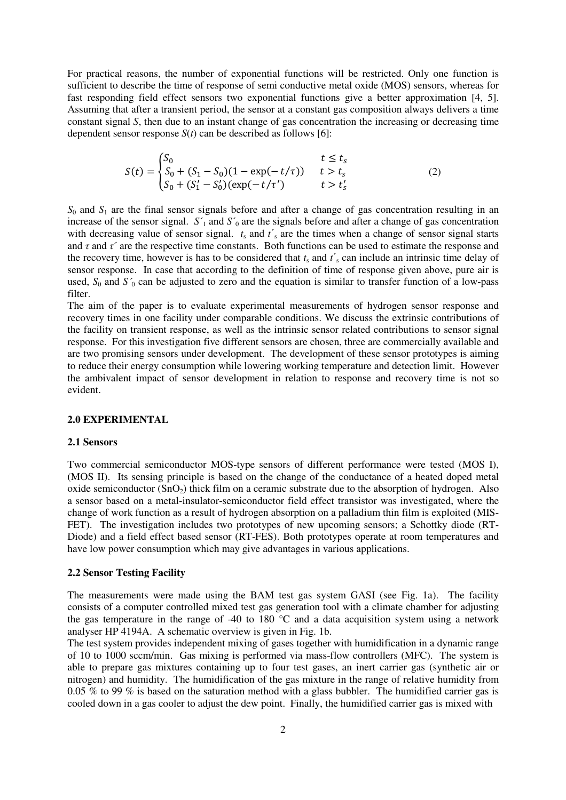For practical reasons, the number of exponential functions will be restricted. Only one function is sufficient to describe the time of response of semi conductive metal oxide (MOS) sensors, whereas for fast responding field effect sensors two exponential functions give a better approximation [4, 5]. Assuming that after a transient period, the sensor at a constant gas composition always delivers a time constant signal *S*, then due to an instant change of gas concentration the increasing or decreasing time dependent sensor response *S*(*t*) can be described as follows [6]:

$$
S(t) = \begin{cases} S_0 & t \le t_s \\ S_0 + (S_1 - S_0)(1 - \exp(-t/\tau)) & t > t_s \\ S_0 + (S_1' - S_0')(\exp(-t/\tau') & t > t'_s \end{cases}
$$
(2)

 $S_0$  and  $S_1$  are the final sensor signals before and after a change of gas concentration resulting in an increase of the sensor signal.  $S'_1$  and  $S'_0$  are the signals before and after a change of gas concentration with decreasing value of sensor signal.  $t_s$  and  $t'_s$  are the times when a change of sensor signal starts and  $\tau$  and  $\tau'$  are the respective time constants. Both functions can be used to estimate the response and the recovery time, however is has to be considered that  $t_s$  and  $t'$ <sub>s</sub> can include an intrinsic time delay of sensor response. In case that according to the definition of time of response given above, pure air is used,  $S_0$  and  $S'_0$  can be adjusted to zero and the equation is similar to transfer function of a low-pass filter.

The aim of the paper is to evaluate experimental measurements of hydrogen sensor response and recovery times in one facility under comparable conditions. We discuss the extrinsic contributions of the facility on transient response, as well as the intrinsic sensor related contributions to sensor signal response. For this investigation five different sensors are chosen, three are commercially available and are two promising sensors under development. The development of these sensor prototypes is aiming to reduce their energy consumption while lowering working temperature and detection limit. However the ambivalent impact of sensor development in relation to response and recovery time is not so evident.

#### **2.0 EXPERIMENTAL**

#### **2.1 Sensors**

Two commercial semiconductor MOS-type sensors of different performance were tested (MOS I), (MOS II). Its sensing principle is based on the change of the conductance of a heated doped metal oxide semiconductor  $(SnO<sub>2</sub>)$  thick film on a ceramic substrate due to the absorption of hydrogen. Also a sensor based on a metal-insulator-semiconductor field effect transistor was investigated, where the change of work function as a result of hydrogen absorption on a palladium thin film is exploited (MIS-FET). The investigation includes two prototypes of new upcoming sensors; a Schottky diode (RT-Diode) and a field effect based sensor (RT-FES). Both prototypes operate at room temperatures and have low power consumption which may give advantages in various applications.

#### **2.2 Sensor Testing Facility**

The measurements were made using the BAM test gas system GASI (see Fig. 1a). The facility consists of a computer controlled mixed test gas generation tool with a climate chamber for adjusting the gas temperature in the range of -40 to 180 °C and a data acquisition system using a network analyser HP 4194A. A schematic overview is given in Fig. 1b.

The test system provides independent mixing of gases together with humidification in a dynamic range of 10 to 1000 sccm/min. Gas mixing is performed via mass-flow controllers (MFC). The system is able to prepare gas mixtures containing up to four test gases, an inert carrier gas (synthetic air or nitrogen) and humidity. The humidification of the gas mixture in the range of relative humidity from 0.05 % to 99 % is based on the saturation method with a glass bubbler. The humidified carrier gas is cooled down in a gas cooler to adjust the dew point. Finally, the humidified carrier gas is mixed with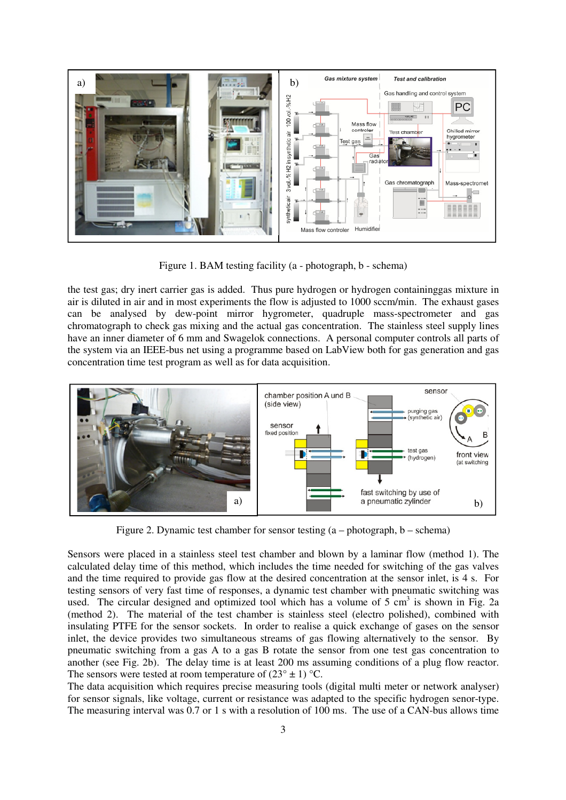

Figure 1. BAM testing facility (a - photograph, b - schema)

the test gas; dry inert carrier gas is added. Thus pure hydrogen or hydrogen containinggas mixture in air is diluted in air and in most experiments the flow is adjusted to 1000 sccm/min. The exhaust gases can be analysed by dew-point mirror hygrometer, quadruple mass-spectrometer and gas chromatograph to check gas mixing and the actual gas concentration. The stainless steel supply lines have an inner diameter of 6 mm and Swagelok connections. A personal computer controls all parts of the system via an IEEE-bus net using a programme based on LabView both for gas generation and gas concentration time test program as well as for data acquisition.



Figure 2. Dynamic test chamber for sensor testing  $(a - photograph, b - schema)$ 

Sensors were placed in a stainless steel test chamber and blown by a laminar flow (method 1). The calculated delay time of this method, which includes the time needed for switching of the gas valves and the time required to provide gas flow at the desired concentration at the sensor inlet, is 4 s. For testing sensors of very fast time of responses, a dynamic test chamber with pneumatic switching was used. The circular designed and optimized tool which has a volume of  $5 \text{ cm}^3$  is shown in Fig. 2a (method 2). The material of the test chamber is stainless steel (electro polished), combined with insulating PTFE for the sensor sockets. In order to realise a quick exchange of gases on the sensor inlet, the device provides two simultaneous streams of gas flowing alternatively to the sensor. By pneumatic switching from a gas A to a gas B rotate the sensor from one test gas concentration to another (see Fig. 2b). The delay time is at least 200 ms assuming conditions of a plug flow reactor. The sensors were tested at room temperature of  $(23^{\circ} \pm 1)$  °C.

The data acquisition which requires precise measuring tools (digital multi meter or network analyser) for sensor signals, like voltage, current or resistance was adapted to the specific hydrogen senor-type. The measuring interval was 0.7 or 1 s with a resolution of 100 ms. The use of a CAN-bus allows time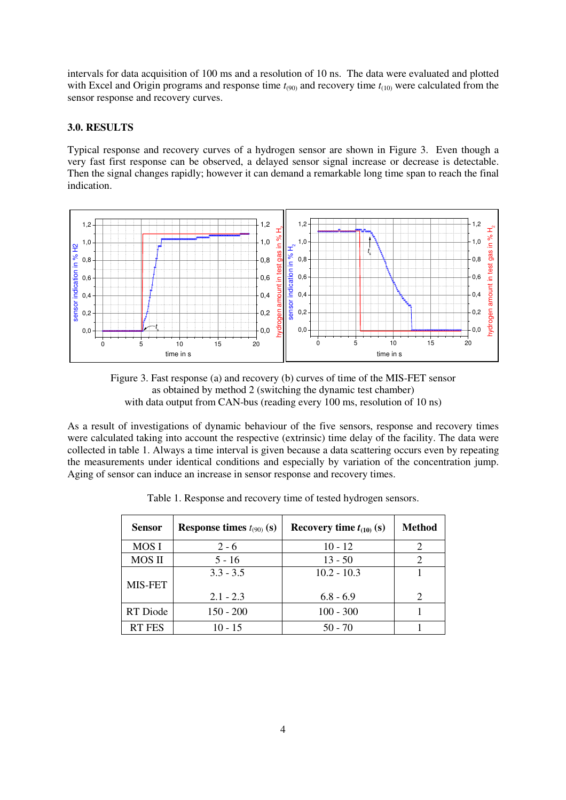intervals for data acquisition of 100 ms and a resolution of 10 ns. The data were evaluated and plotted with Excel and Origin programs and response time  $t_{(90)}$  and recovery time  $t_{(10)}$  were calculated from the sensor response and recovery curves.

# **3.0. RESULTS**

Typical response and recovery curves of a hydrogen sensor are shown in Figure 3. Even though a very fast first response can be observed, a delayed sensor signal increase or decrease is detectable. Then the signal changes rapidly; however it can demand a remarkable long time span to reach the final indication.





As a result of investigations of dynamic behaviour of the five sensors, response and recovery times were calculated taking into account the respective (extrinsic) time delay of the facility. The data were collected in table 1. Always a time interval is given because a data scattering occurs even by repeating the measurements under identical conditions and especially by variation of the concentration jump. Aging of sensor can induce an increase in sensor response and recovery times.

| <b>Sensor</b> | Response times $t_{(90)}$ (s) | Recovery time $t_{(10)}$ (s) | <b>Method</b> |
|---------------|-------------------------------|------------------------------|---------------|
| <b>MOSI</b>   | $2 - 6$                       | $10 - 12$                    |               |
| <b>MOS II</b> | $5 - 16$                      | $13 - 50$                    |               |
|               | $3.3 - 3.5$                   | $10.2 - 10.3$                |               |
| MIS-FET       |                               |                              |               |
|               | $2.1 - 2.3$                   | $6.8 - 6.9$                  |               |
| RT Diode      | $150 - 200$                   | $100 - 300$                  |               |
| <b>RT FES</b> | $10 - 15$                     | $50 - 70$                    |               |

Table 1. Response and recovery time of tested hydrogen sensors.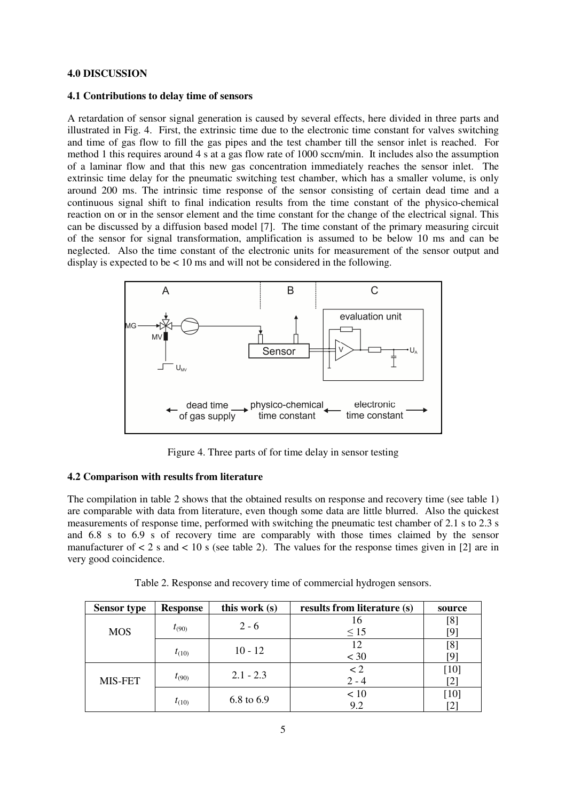### **4.0 DISCUSSION**

#### **4.1 Contributions to delay time of sensors**

A retardation of sensor signal generation is caused by several effects, here divided in three parts and illustrated in Fig. 4. First, the extrinsic time due to the electronic time constant for valves switching and time of gas flow to fill the gas pipes and the test chamber till the sensor inlet is reached. For method 1 this requires around 4 s at a gas flow rate of 1000 sccm/min. It includes also the assumption of a laminar flow and that this new gas concentration immediately reaches the sensor inlet. The extrinsic time delay for the pneumatic switching test chamber, which has a smaller volume, is only around 200 ms. The intrinsic time response of the sensor consisting of certain dead time and a continuous signal shift to final indication results from the time constant of the physico-chemical reaction on or in the sensor element and the time constant for the change of the electrical signal. This can be discussed by a diffusion based model [7]. The time constant of the primary measuring circuit of the sensor for signal transformation, amplification is assumed to be below 10 ms and can be neglected. Also the time constant of the electronic units for measurement of the sensor output and display is expected to be < 10 ms and will not be considered in the following.



Figure 4. Three parts of for time delay in sensor testing

# **4.2 Comparison with results from literature**

The compilation in table 2 shows that the obtained results on response and recovery time (see table 1) are comparable with data from literature, even though some data are little blurred. Also the quickest measurements of response time, performed with switching the pneumatic test chamber of 2.1 s to 2.3 s and 6.8 s to 6.9 s of recovery time are comparably with those times claimed by the sensor manufacturer of  $\lt 2$  s and  $\lt 10$  s (see table 2). The values for the response times given in [2] are in very good coincidence.

| <b>Sensor type</b> | <b>Response</b> | this work (s) | results from literature (s) | source |
|--------------------|-----------------|---------------|-----------------------------|--------|
| <b>MOS</b>         | $t_{(90)}$      | $2 - 6$       | 16                          | [8]    |
|                    |                 |               | $\leq 15$                   | [9]    |
|                    |                 | $10 - 12$     | 12                          | [8]    |
|                    | $t_{(10)}$      |               | $<$ 30                      | [9]    |
| MIS-FET            |                 | $2.1 - 2.3$   | $\lt 2$                     | [10]   |
|                    | $t_{(90)}$      |               | $2 - 4$                     | [2]    |
|                    | $t_{(10)}$      | 6.8 to 6.9    | < 10                        | $[10]$ |
|                    |                 |               | 9.2                         |        |

Table 2. Response and recovery time of commercial hydrogen sensors.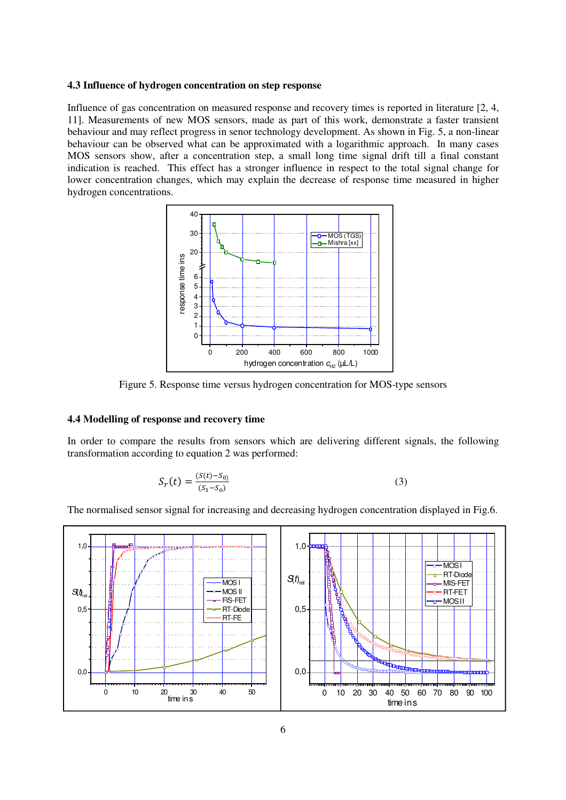#### **4.3 Influence of hydrogen concentration on step response**

Influence of gas concentration on measured response and recovery times is reported in literature [2, 4, 11]. Measurements of new MOS sensors, made as part of this work, demonstrate a faster transient behaviour and may reflect progress in senor technology development. As shown in Fig. 5, a non-linear behaviour can be observed what can be approximated with a logarithmic approach. In many cases MOS sensors show, after a concentration step, a small long time signal drift till a final constant indication is reached. This effect has a stronger influence in respect to the total signal change for lower concentration changes, which may explain the decrease of response time measured in higher hydrogen concentrations.



Figure 5. Response time versus hydrogen concentration for MOS-type sensors

# **4.4 Modelling of response and recovery time**

In order to compare the results from sensors which are delivering different signals, the following transformation according to equation 2 was performed:

$$
S_r(t) = \frac{(S(t) - S_0)}{(S_1 - S_0)}
$$
\n(3)

The normalised sensor signal for increasing and decreasing hydrogen concentration displayed in Fig.6.

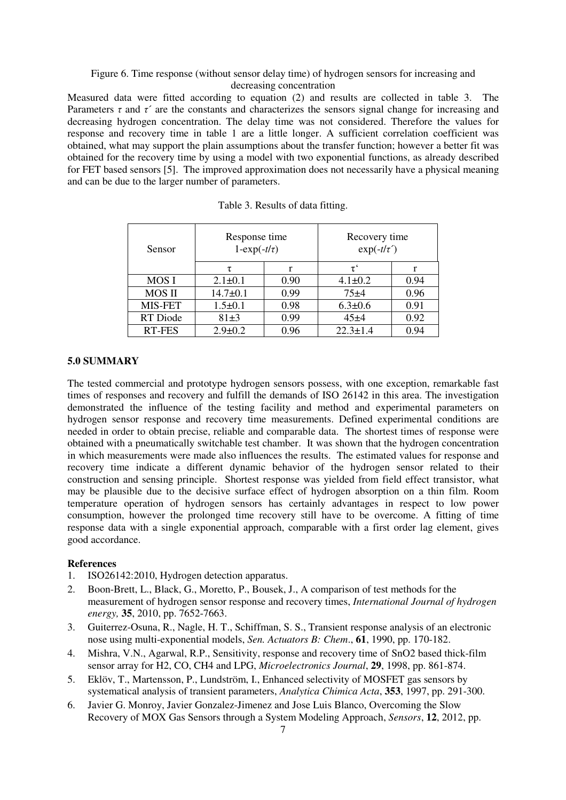# Figure 6. Time response (without sensor delay time) of hydrogen sensors for increasing and decreasing concentration

Measured data were fitted according to equation (2) and results are collected in table 3. The Parameters  $\tau$  and  $\tau'$  are the constants and characterizes the sensors signal change for increasing and decreasing hydrogen concentration. The delay time was not considered. Therefore the values for response and recovery time in table 1 are a little longer. A sufficient correlation coefficient was obtained, what may support the plain assumptions about the transfer function; however a better fit was obtained for the recovery time by using a model with two exponential functions, as already described for FET based sensors [5]. The improved approximation does not necessarily have a physical meaning and can be due to the larger number of parameters.

| Sensor         | Response time<br>$1-\exp(-t/\tau)$ |      | Recovery time<br>$\exp(-t/\tau')$ |      |
|----------------|------------------------------------|------|-----------------------------------|------|
|                | τ                                  |      | $\tau^{\cdot}$                    |      |
| <b>MOSI</b>    | $2.1 \pm 0.1$                      | 0.90 | $4.1 \pm 0.2$                     | 0.94 |
| <b>MOS II</b>  | $14.7 \pm 0.1$                     | 0.99 | $75 + 4$                          | 0.96 |
| <b>MIS-FET</b> | $1.5 \pm 0.1$                      | 0.98 | $6.3 \pm 0.6$                     | 0.91 |
| RT Diode       | $81\pm3$                           | 0.99 | 45±4                              | 0.92 |
| <b>RT-FES</b>  | $2.9 \pm 0.2$                      | 0.96 | $22.3 \pm 1.4$                    | 0.94 |

# **5.0 SUMMARY**

The tested commercial and prototype hydrogen sensors possess, with one exception, remarkable fast times of responses and recovery and fulfill the demands of ISO 26142 in this area. The investigation demonstrated the influence of the testing facility and method and experimental parameters on hydrogen sensor response and recovery time measurements. Defined experimental conditions are needed in order to obtain precise, reliable and comparable data. The shortest times of response were obtained with a pneumatically switchable test chamber. It was shown that the hydrogen concentration in which measurements were made also influences the results. The estimated values for response and recovery time indicate a different dynamic behavior of the hydrogen sensor related to their construction and sensing principle. Shortest response was yielded from field effect transistor, what may be plausible due to the decisive surface effect of hydrogen absorption on a thin film. Room temperature operation of hydrogen sensors has certainly advantages in respect to low power consumption, however the prolonged time recovery still have to be overcome. A fitting of time response data with a single exponential approach, comparable with a first order lag element, gives good accordance.

## **References**

- 1. ISO26142:2010, Hydrogen detection apparatus.
- 2. Boon-Brett, L., Black, G., Moretto, P., Bousek, J., A comparison of test methods for the measurement of hydrogen sensor response and recovery times, *International Journal of hydrogen energy,* **35**, 2010, pp. 7652-7663.
- 3. Guiterrez-Osuna, R., Nagle, H. T., Schiffman, S. S., Transient response analysis of an electronic nose using multi-exponential models, *Sen. Actuators B: Chem*., **61**, 1990, pp. 170-182.
- 4. Mishra, V.N., Agarwal, R.P., Sensitivity, response and recovery time of SnO2 based thick-film sensor array for H2, CO, CH4 and LPG, *Microelectronics Journal*, **29**, 1998, pp. 861-874.
- 5. Eklöv, T., Martensson, P., Lundström, I., Enhanced selectivity of MOSFET gas sensors by systematical analysis of transient parameters, *Analytica Chimica Acta*, **353**, 1997, pp. 291-300.
- 6. Javier G. Monroy, Javier Gonzalez-Jimenez and Jose Luis Blanco, Overcoming the Slow Recovery of MOX Gas Sensors through a System Modeling Approach, *Sensors*, **12**, 2012, pp.